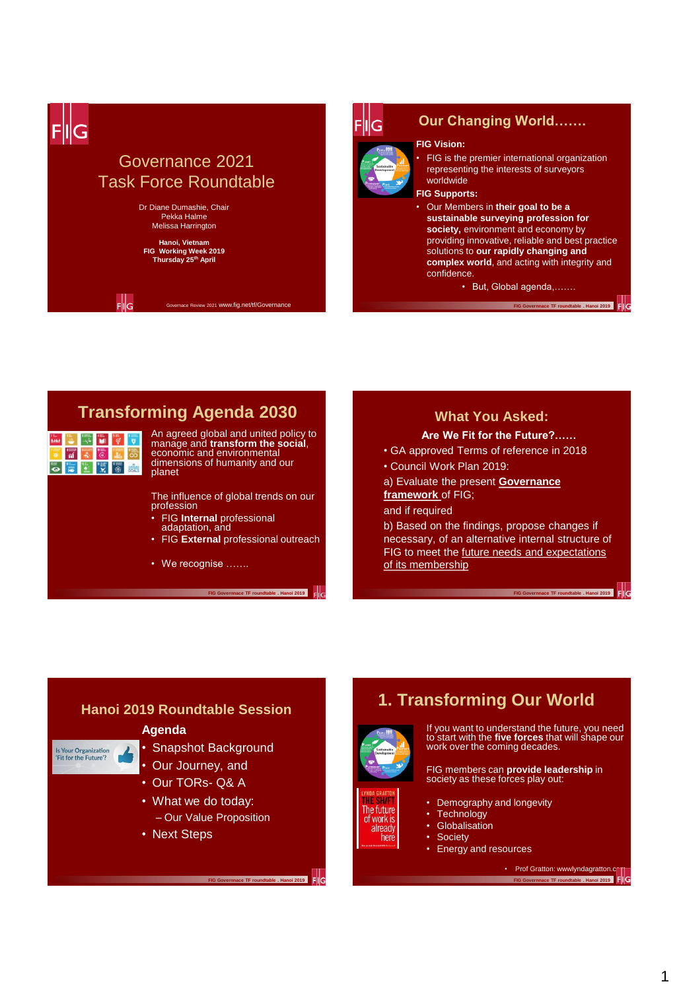



## **Our Changing World…….**

#### **FIG Vision:**



- FIG is the premier international organization representing the interests of surveyors worldwide
- **FIG Supports:**
- Our Members in **their goal to be a sustainable surveying profession for society,** environment and economy by providing innovative, reliable and best practice solutions to **our rapidly changing and complex world**, and acting with integrity and confidence.

• But, Global agenda,…….

**FIG Governnace TF roundtable . Hanoi 2019 | COVERNMENT** 

**FIG Governnace TF roundtable . Hanoi 2019** 

# **Transforming Agenda 2030**

| ī. |  |   |  |
|----|--|---|--|
|    |  | ۰ |  |
|    |  |   |  |

An agreed global and united policy to manage and **transform the social**, economic and environmental dimensions of humanity and our planet

The influence of global trends on our profession

- FIG **Internal** professional adaptation, and
- FIG **External** professional outreach
- We recognise …….

**FIG Governnace TF roundtable . Hanoi 2019** 

# **What You Asked:**

## **Are We Fit for the Future?……**

- GA approved Terms of reference in 2018
- Council Work Plan 2019:

a) Evaluate the present **Governance framework** of FIG;

### and if required

b) Based on the findings, propose changes if necessary, of an alternative internal structure of FIG to meet the future needs and expectations of its membership

## **Hanoi 2019 Roundtable Session**

#### **Agenda**



- Snapshot Background
- Our Journey, and
- Our TORs- Q& A
- What we do today: – Our Value Proposition

**FIG Governnace TF roundtable . Hanoi 2019** 

• Next Steps



cun The future of work is already here

FIG

If you want to understand the future, you need to start with the **five forces** that will shape our work over the coming decades.

FIG members can **provide leadership** in society as these forces play out:

• Demography and longevity

**1. Transforming Our World**

- Technology
- Globalisation
- **Society**
- Energy and resources

• Prof Gratton: wwwlyndagratton.c **FIG Governnace TF roundtable . Hanoi 2019**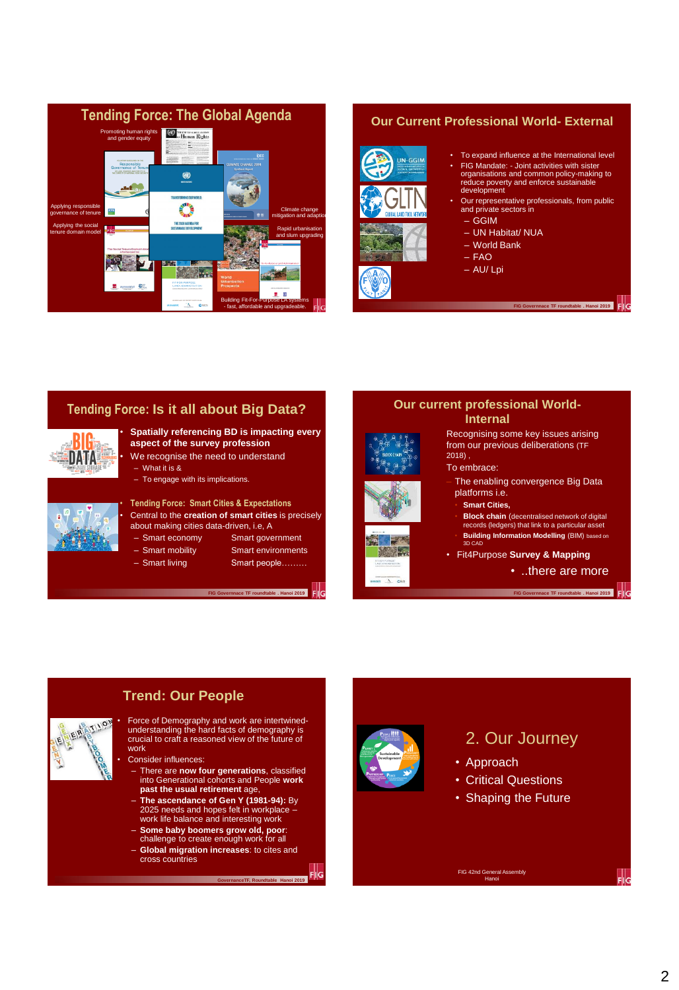

## **Our Current Professional World- External**



- To expand influence at the International level
- FIG Mandate: Joint activities with sister organisations and common policy-making to reduce poverty and enforce sustainable development
- Our representative professionals, from public and private sectors in
	- GGIM
	- UN Habitat/ NUA
	- World Bank
	- $-$  FAO
	- $=$  AU/ Lpi

**FIG Governnace TF roundtable . Hanoi 2019** 

# **Tending Force: Is it all about Big Data?**



## • **Spatially referencing BD is impacting every aspect of the survey profession**

We recognise the need to understand – What it is &

– To engage with its implications.



# • **Tending Force: Smart Cities & Expectations** • Central to the **creation of smart cities** is precisely

about making cities data-driven, i.e, A

- Smart economy Smart government
- Smart mobility Smart environments
	-
- Smart living Smart people………

**FIG Governnace TF roundtable . Hanoi 2019** 



**AND KY** 



Recognising some key issues arising from our previous deliberations (TF 2018) ,

- To embrace:
- The enabling convergence Big Data platforms i.e.
	- **Smart Cities,**
- **Block chain** (decentralised network of digital records (ledgers) that link to a particular asset • **Building Information Modelling** (BIM) based on 3D CAD
- Fit4Purpose **Survey & Mapping**

• ..there are more

**FIGURE 2019** 



## **Trend: Our People**

• Force of Demography and work are intertwined-understanding the hard facts of demography is crucial to craft a reasoned view of the future of work

Consider influences:

- There are **now four generations**, classified into Generational cohorts and People **work past the usual retirement** age,
- **The ascendance of Gen Y (1981-94):** By 2025 needs and hopes felt in workplace work life balance and interesting work
- **Some baby boomers grow old, poor**: challenge to create enough work for all
- **Global migration increases**: to cites and cross countries

**GovernanceTF, Roundtable Hanoi 2019** 



# 2. Our Journey

- Approach
- Critical Questions
- Shaping the Future

FIG 42nd General Assembly Hanoi

2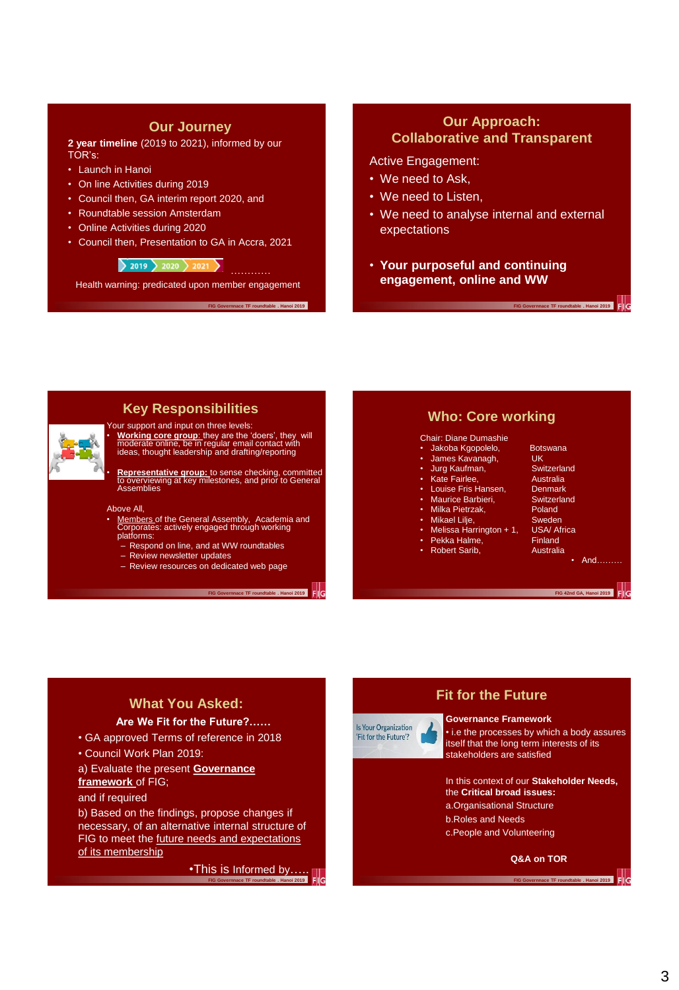## **Our Journey**

**2 year timeline** (2019 to 2021), informed by our TOR's:

- Launch in Hanoi
- On line Activities during 2019
- Council then, GA interim report 2020, and
- Roundtable session Amsterdam
- Online Activities during 2020
- Council then, Presentation to GA in Accra, 2021

 $\frac{1}{2019}$  2020  $\frac{1}{2021}$ 

Health warning: predicated upon member engagement

**FIG Governnace TF roundtable . Hanoi 2019** 

## **Our Approach: Collaborative and Transparent**

#### Active Engagement:

- We need to Ask,
- We need to Listen,
- We need to analyse internal and external expectations
- **Your purposeful and continuing engagement, online and WW**



## **Key Responsibilities**

Your support and input on three levels: • **Working core group**: they are the 'doers', they will moderate online, be in regular email contact with ideas, thought leadership and drafting/reporting

• **Representative group:** to sense checking, committed to overviewing at key milestones, and prior to General Assemblies

#### Above All,

- Members of the General Assembly, Academia and<br>Corporates: actively engaged through working<br>platforms:
	- Respond on line, and at WW roundtables
	- Review newsletter updates
	- Review resources on dedicated web page

**FIG Governnace TF roundtable . Hanoi 2019** 

## **Who: Core working**

#### Chair: Diane Dumashie

- Jakoba Kgopolelo, Botswana<br>James Kayanagh LIK
- 
- Jurg Kaufman, Switzerland Switzerland<br>Kate Fairlee, Switzerland Australian
- Fragmentical, Francescher<br>
Kate Fairlee, Australia<br>
Louise Fris Hansen, Denmark • Louise Fris Hansen, Denmark
- Maurice Barbieri, Switzerland
- Milka Pietrzak, Poland
- **Mikael Lilje, Sweden**
- Melissa Harrington + 1, USA/ Africa
- 
- Robert Sarib,
- James Kavanagh, UK

**FIG Governnace TF roundtable . Hanoi 2019** 

- 
- 
- 
- 
- 
- 
- 
- Pekka Halme, Finland<br>Robert Sarib, Robert Sarib,

• And………

**FIG 42nd GA, Hanoi 2019** 

# **What You Asked:**

## **Are We Fit for the Future?……**

• GA approved Terms of reference in 2018

• Council Work Plan 2019:

a) Evaluate the present **Governance framework** of FIG; and if required

b) Based on the findings, propose changes if necessary, of an alternative internal structure of FIG to meet the future needs and expectations of its membership

> •This is Informed by….. **FIGURE COVERENCE**<br>**FIGURE 1**



# **Fit for the Future**

#### **Governance Framework**

• i.e the processes by which a body assures itself that the long term interests of its stakeholders are satisfied

#### In this context of our **Stakeholder Needs,**  the **Critical broad issues:**

- a.Organisational Structure
- b.Roles and Needs
- c.People and Volunteering

#### **Q&A on TOR**

**FIG Governnace TF roundtable . Hanoi 2019**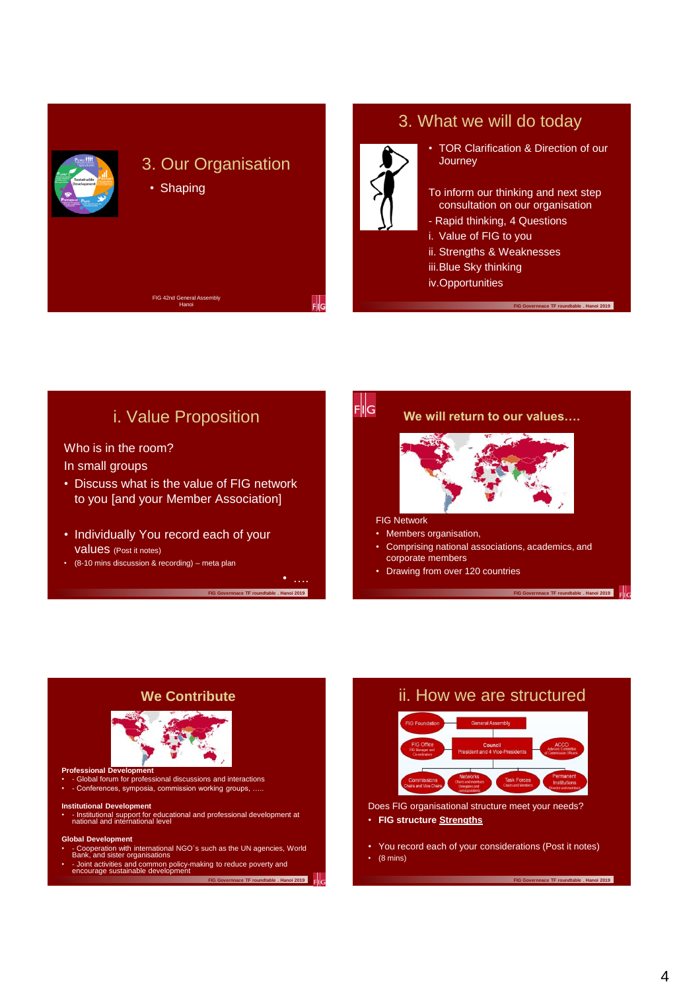

# 3. What we will do today

- TOR Clarification & Direction of our **Journey**
- To inform our thinking and next step consultation on our organisation

**FIG Governnace TF roundtable . Hanoi 2019** 

- Rapid thinking, 4 Questions
- i. Value of FIG to you
- ii. Strengths & Weaknesses
- iii.Blue Sky thinking
- iv.Opportunities

 $\frac{1}{2}$ i. Value Proposition **We will return to our values….** Who is in the room? In small groups • Discuss what is the value of FIG network to you [and your Member Association] FIG Network • Individually You record each of your Members organisation, values (Post it notes) • Comprising national associations, academics, and corporate members • (8-10 mins discussion & recording) – meta plan • Drawing from over 120 countries • …. **FIG Governnace TF roundtable . Hanoi 2019 FIG Governnace TF roundtable . Hanoi 2019** 



# ii. How we are structured



Does FIG organisational structure meet your needs? • **FIG structure Strengths**

• You record each of your considerations (Post it notes)

**FIG Governnace TF roundtable . Hanoi 2019** 

 $\cdot$  (8 mins)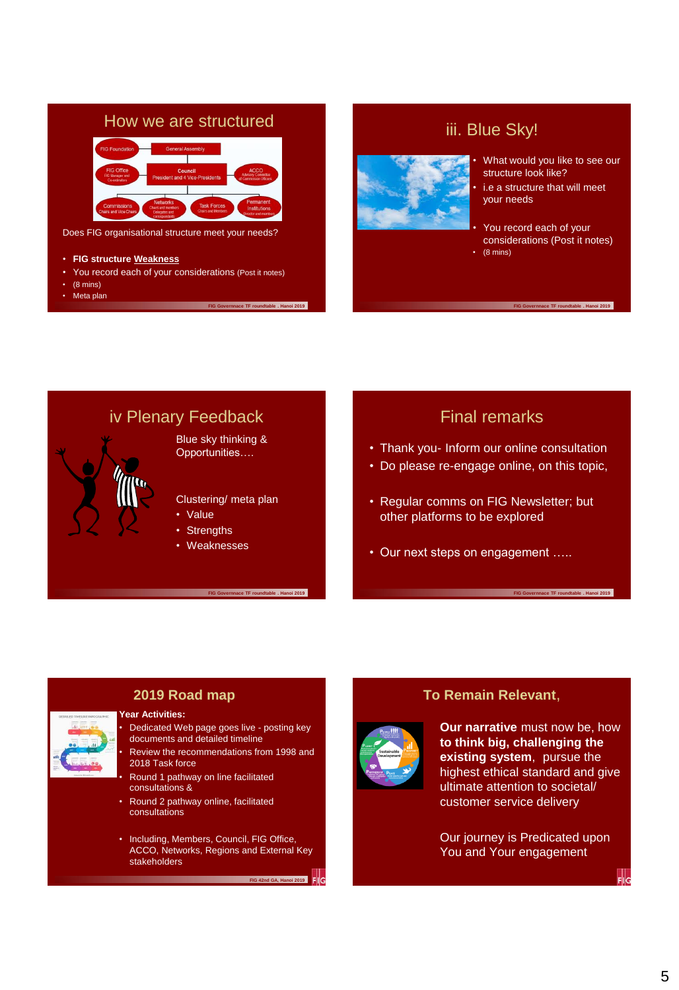

- You record each of your considerations (Post it notes)
- (8 mins)
- Meta plan

# iii. Blue Sky!



• What would you like to see our structure look like?

i.e a structure that will meet your needs

• You record each of your considerations (Post it notes) • (8 mins)

**FIG Governnace TF roundtable . Hanoi 2019** 

# iv Plenary Feedback Blue sky thinking & Opportunities…. Clustering/ meta plan • Value **Strengths Weaknesses**

**FIG Governnace TF roundtable . Hanoi 2019** 

#### **FIG Governnace TF roundtable . Hanoi 2019**

# Final remarks

- Thank you- Inform our online consultation
- Do please re-engage online, on this topic,
- Regular comms on FIG Newsletter; but other platforms to be explored
- Our next steps on engagement …..

# **2019 Road map**

#### **Year Activities:**



Dedicated Web page goes live - posting key documents and detailed timeline • Review the recommendations from 1998 and

2018 Task force

• Round 1 pathway on line facilitated consultations &

- Round 2 pathway online, facilitated consultations
- Including, Members, Council, FIG Office, ACCO, Networks, Regions and External Key stakeholders

**FIG 42nd GA, Hanoi 2019** 



# **To Remain Relevant**,

**Our narrative** must now be, how **to think big, challenging the existing system**, pursue the highest ethical standard and give ultimate attention to societal/ customer service delivery

**FIG Governnace TF roundtable . Hanoi 2019** 

Our journey is Predicated upon You and Your engagement